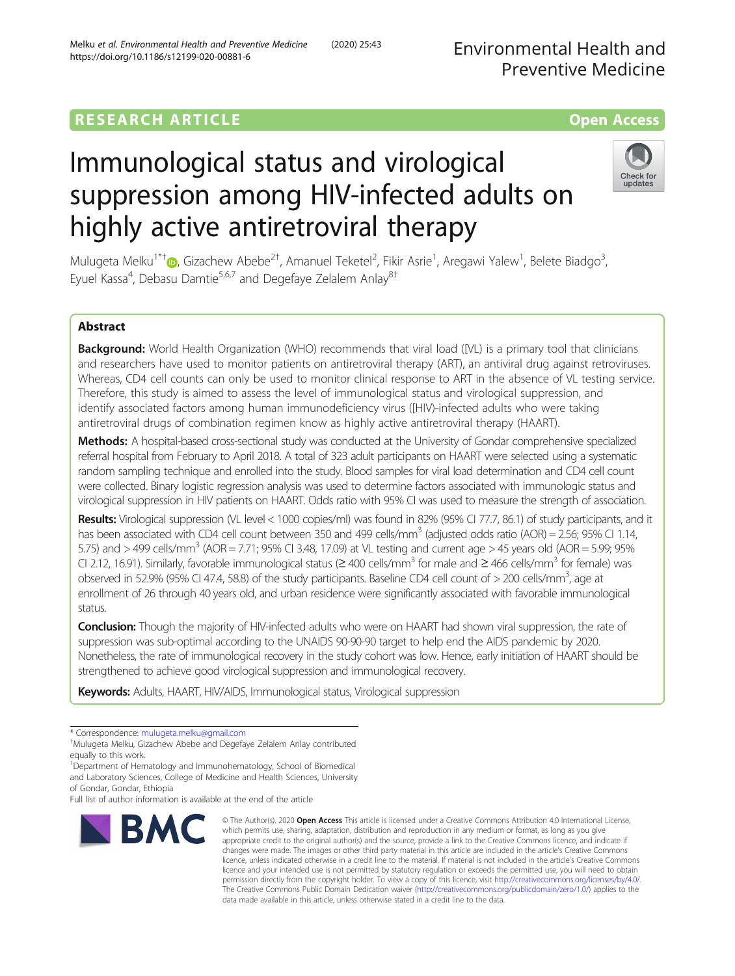## **RESEARCH ARTICLE Example 2018 12:00 Department of the CONNECTION CONNECTION CONNECTION CONNECTION**

# Immunological status and virological suppression among HIV-infected adults on highly active antiretroviral therapy

Mulugeta Melku<sup>1\*†</sup>®[,](http://orcid.org/0000-0002-3383-9377) Gizachew Abebe<sup>2†</sup>, Amanuel Teketel<sup>2</sup>, Fikir Asrie<sup>1</sup>, Aregawi Yalew<sup>1</sup>, Belete Biadgo<sup>3</sup> , Eyuel Kassa<sup>4</sup>, Debasu Damtie<sup>5,6,7</sup> and Degefaye Zelalem Anlay<sup>8†</sup>

### Abstract

Background: World Health Organization (WHO) recommends that viral load ([VL) is a primary tool that clinicians and researchers have used to monitor patients on antiretroviral therapy (ART), an antiviral drug against retroviruses. Whereas, CD4 cell counts can only be used to monitor clinical response to ART in the absence of VL testing service. Therefore, this study is aimed to assess the level of immunological status and virological suppression, and identify associated factors among human immunodeficiency virus ([HIV)-infected adults who were taking antiretroviral drugs of combination regimen know as highly active antiretroviral therapy (HAART).

Methods: A hospital-based cross-sectional study was conducted at the University of Gondar comprehensive specialized referral hospital from February to April 2018. A total of 323 adult participants on HAART were selected using a systematic random sampling technique and enrolled into the study. Blood samples for viral load determination and CD4 cell count were collected. Binary logistic regression analysis was used to determine factors associated with immunologic status and virological suppression in HIV patients on HAART. Odds ratio with 95% CI was used to measure the strength of association.

Results: Virological suppression (VL level < 1000 copies/ml) was found in 82% (95% CI 77.7, 86.1) of study participants, and it has been associated with CD4 cell count between 350 and 499 cells/mm<sup>3</sup> (adjusted odds ratio (AOR) = 2.56; 95% CI 1.14, 5.75) and  $>$  499 cells/mm<sup>3</sup> (AOR = 7.71; 95% CI 3.48, 17.09) at VL testing and current age  $>$  45 years old (AOR = 5.99; 95% CI 2.12, 16.91). Similarly, favorable immunological status (≥ 400 cells/mm3 for male and ≥ 466 cells/mm3 for female) was observed in 52.9% (95% CI 47.4, 58.8) of the study participants. Baseline CD4 cell count of  $>$  200 cells/mm<sup>3</sup>, age at enrollment of 26 through 40 years old, and urban residence were significantly associated with favorable immunological status.

**Conclusion:** Though the majority of HIV-infected adults who were on HAART had shown viral suppression, the rate of suppression was sub-optimal according to the UNAIDS 90-90-90 target to help end the AIDS pandemic by 2020. Nonetheless, the rate of immunological recovery in the study cohort was low. Hence, early initiation of HAART should be strengthened to achieve good virological suppression and immunological recovery.

Keywords: Adults, HAART, HIV/AIDS, Immunological status, Virological suppression

**BMC** 

which permits use, sharing, adaptation, distribution and reproduction in any medium or format, as long as you give appropriate credit to the original author(s) and the source, provide a link to the Creative Commons licence, and indicate if changes were made. The images or other third party material in this article are included in the article's Creative Commons licence, unless indicated otherwise in a credit line to the material. If material is not included in the article's Creative Commons licence and your intended use is not permitted by statutory regulation or exceeds the permitted use, you will need to obtain permission directly from the copyright holder. To view a copy of this licence, visit [http://creativecommons.org/licenses/by/4.0/.](http://creativecommons.org/licenses/by/4.0/) The Creative Commons Public Domain Dedication waiver [\(http://creativecommons.org/publicdomain/zero/1.0/](http://creativecommons.org/publicdomain/zero/1.0/)) applies to the data made available in this article, unless otherwise stated in a credit line to the data.

© The Author(s), 2020 **Open Access** This article is licensed under a Creative Commons Attribution 4.0 International License,

Environmental Health and

Preventive Medicine

## Melku et al. Environmental Health and Preventive Medicine (2020) 25:43



<sup>\*</sup> Correspondence: [mulugeta.melku@gmail.com](mailto:mulugeta.melku@gmail.com) †

Mulugeta Melku, Gizachew Abebe and Degefaye Zelalem Anlay contributed equally to this work.

<sup>&</sup>lt;sup>1</sup>Department of Hematology and Immunohematology, School of Biomedical and Laboratory Sciences, College of Medicine and Health Sciences, University of Gondar, Gondar, Ethiopia

Full list of author information is available at the end of the article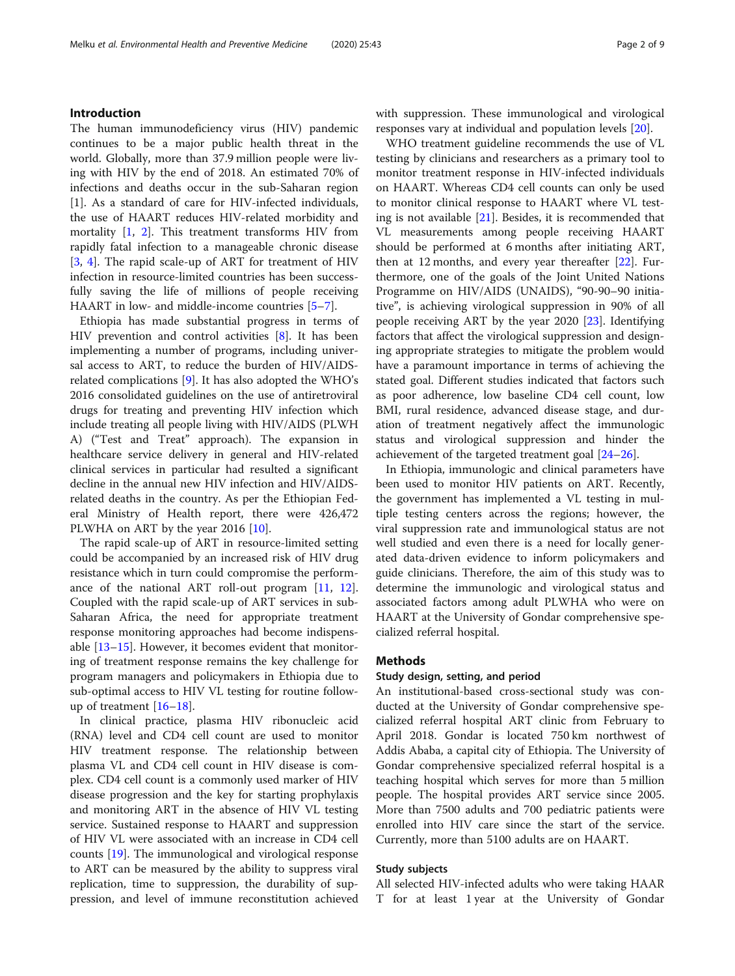#### Introduction

The human immunodeficiency virus (HIV) pandemic continues to be a major public health threat in the world. Globally, more than 37.9 million people were living with HIV by the end of 2018. An estimated 70% of infections and deaths occur in the sub-Saharan region [1]. As a standard of care for HIV-infected individuals, the use of HAART reduces HIV-related morbidity and mortality [\[1](#page-7-0), [2](#page-7-0)]. This treatment transforms HIV from rapidly fatal infection to a manageable chronic disease [[3,](#page-7-0) [4\]](#page-7-0). The rapid scale-up of ART for treatment of HIV infection in resource-limited countries has been successfully saving the life of millions of people receiving HAART in low- and middle-income countries [\[5](#page-7-0)–[7\]](#page-7-0).

Ethiopia has made substantial progress in terms of HIV prevention and control activities [\[8](#page-7-0)]. It has been implementing a number of programs, including universal access to ART, to reduce the burden of HIV/AIDSrelated complications [\[9](#page-7-0)]. It has also adopted the WHO's 2016 consolidated guidelines on the use of antiretroviral drugs for treating and preventing HIV infection which include treating all people living with HIV/AIDS (PLWH A) ("Test and Treat" approach). The expansion in healthcare service delivery in general and HIV-related clinical services in particular had resulted a significant decline in the annual new HIV infection and HIV/AIDSrelated deaths in the country. As per the Ethiopian Federal Ministry of Health report, there were 426,472 PLWHA on ART by the year 2016 [[10\]](#page-7-0).

The rapid scale-up of ART in resource-limited setting could be accompanied by an increased risk of HIV drug resistance which in turn could compromise the performance of the national ART roll-out program [[11,](#page-7-0) [12](#page-7-0)]. Coupled with the rapid scale-up of ART services in sub-Saharan Africa, the need for appropriate treatment response monitoring approaches had become indispensable [\[13](#page-7-0)–[15\]](#page-7-0). However, it becomes evident that monitoring of treatment response remains the key challenge for program managers and policymakers in Ethiopia due to sub-optimal access to HIV VL testing for routine followup of treatment [\[16](#page-7-0)–[18\]](#page-7-0).

In clinical practice, plasma HIV ribonucleic acid (RNA) level and CD4 cell count are used to monitor HIV treatment response. The relationship between plasma VL and CD4 cell count in HIV disease is complex. CD4 cell count is a commonly used marker of HIV disease progression and the key for starting prophylaxis and monitoring ART in the absence of HIV VL testing service. Sustained response to HAART and suppression of HIV VL were associated with an increase in CD4 cell counts [\[19\]](#page-7-0). The immunological and virological response to ART can be measured by the ability to suppress viral replication, time to suppression, the durability of suppression, and level of immune reconstitution achieved with suppression. These immunological and virological responses vary at individual and population levels [\[20](#page-7-0)].

WHO treatment guideline recommends the use of VL testing by clinicians and researchers as a primary tool to monitor treatment response in HIV-infected individuals on HAART. Whereas CD4 cell counts can only be used to monitor clinical response to HAART where VL testing is not available [\[21](#page-7-0)]. Besides, it is recommended that VL measurements among people receiving HAART should be performed at 6 months after initiating ART, then at 12 months, and every year thereafter [\[22](#page-7-0)]. Furthermore, one of the goals of the Joint United Nations Programme on HIV/AIDS (UNAIDS), "90-90–90 initiative", is achieving virological suppression in 90% of all people receiving ART by the year 2020 [[23\]](#page-7-0). Identifying factors that affect the virological suppression and designing appropriate strategies to mitigate the problem would have a paramount importance in terms of achieving the stated goal. Different studies indicated that factors such as poor adherence, low baseline CD4 cell count, low BMI, rural residence, advanced disease stage, and duration of treatment negatively affect the immunologic status and virological suppression and hinder the achievement of the targeted treatment goal [\[24](#page-7-0)–[26\]](#page-7-0).

In Ethiopia, immunologic and clinical parameters have been used to monitor HIV patients on ART. Recently, the government has implemented a VL testing in multiple testing centers across the regions; however, the viral suppression rate and immunological status are not well studied and even there is a need for locally generated data-driven evidence to inform policymakers and guide clinicians. Therefore, the aim of this study was to determine the immunologic and virological status and associated factors among adult PLWHA who were on HAART at the University of Gondar comprehensive specialized referral hospital.

#### Methods

#### Study design, setting, and period

An institutional-based cross-sectional study was conducted at the University of Gondar comprehensive specialized referral hospital ART clinic from February to April 2018. Gondar is located 750 km northwest of Addis Ababa, a capital city of Ethiopia. The University of Gondar comprehensive specialized referral hospital is a teaching hospital which serves for more than 5 million people. The hospital provides ART service since 2005. More than 7500 adults and 700 pediatric patients were enrolled into HIV care since the start of the service. Currently, more than 5100 adults are on HAART.

#### Study subjects

All selected HIV-infected adults who were taking HAAR T for at least 1 year at the University of Gondar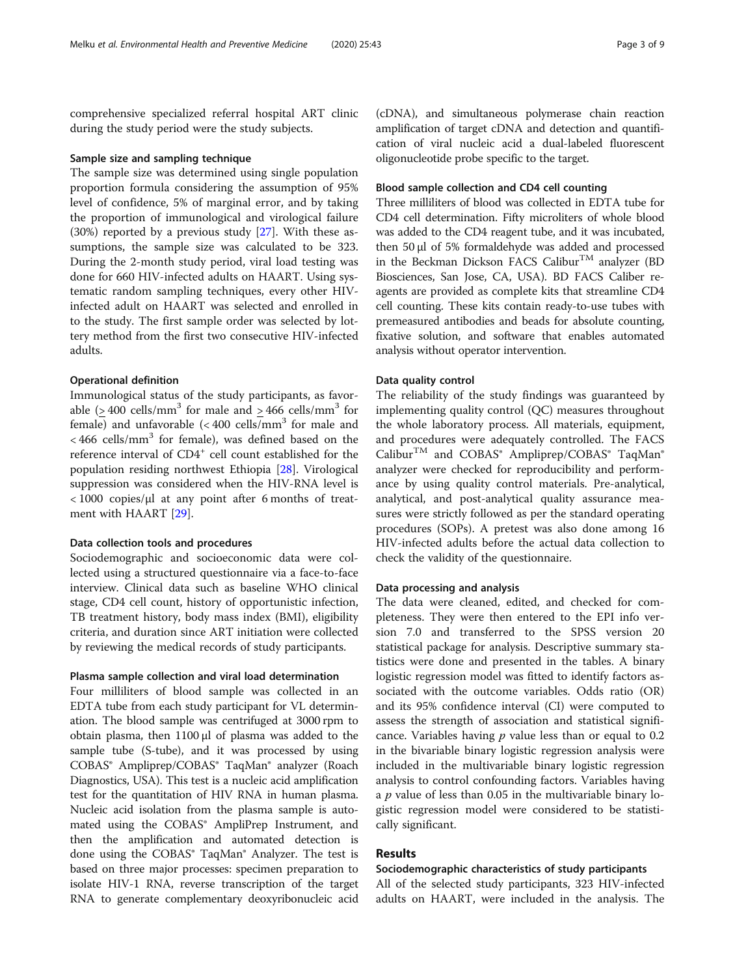comprehensive specialized referral hospital ART clinic during the study period were the study subjects.

#### Sample size and sampling technique

The sample size was determined using single population proportion formula considering the assumption of 95% level of confidence, 5% of marginal error, and by taking the proportion of immunological and virological failure (30%) reported by a previous study [\[27](#page-7-0)]. With these assumptions, the sample size was calculated to be 323. During the 2-month study period, viral load testing was done for 660 HIV-infected adults on HAART. Using systematic random sampling techniques, every other HIVinfected adult on HAART was selected and enrolled in to the study. The first sample order was selected by lottery method from the first two consecutive HIV-infected adults.

#### Operational definition

Immunological status of the study participants, as favorable ( $>$  400 cells/mm<sup>3</sup> for male and  $>$  466 cells/mm<sup>3</sup> for female) and unfavorable  $( $400 \text{ cells/mm}^3$  for male and$  $<$  466 cells/mm<sup>3</sup> for female), was defined based on the reference interval of CD4<sup>+</sup> cell count established for the population residing northwest Ethiopia [\[28\]](#page-8-0). Virological suppression was considered when the HIV-RNA level is < 1000 copies/μl at any point after 6 months of treatment with HAART [[29\]](#page-8-0).

#### Data collection tools and procedures

Sociodemographic and socioeconomic data were collected using a structured questionnaire via a face-to-face interview. Clinical data such as baseline WHO clinical stage, CD4 cell count, history of opportunistic infection, TB treatment history, body mass index (BMI), eligibility criteria, and duration since ART initiation were collected by reviewing the medical records of study participants.

#### Plasma sample collection and viral load determination

Four milliliters of blood sample was collected in an EDTA tube from each study participant for VL determination. The blood sample was centrifuged at 3000 rpm to obtain plasma, then 1100 μl of plasma was added to the sample tube (S-tube), and it was processed by using COBAS® Ampliprep/COBAS® TaqMan® analyzer (Roach Diagnostics, USA). This test is a nucleic acid amplification test for the quantitation of HIV RNA in human plasma. Nucleic acid isolation from the plasma sample is automated using the COBAS<sup>®</sup> AmpliPrep Instrument, and then the amplification and automated detection is done using the COBAS® TaqMan® Analyzer. The test is based on three major processes: specimen preparation to isolate HIV-1 RNA, reverse transcription of the target RNA to generate complementary deoxyribonucleic acid

(cDNA), and simultaneous polymerase chain reaction amplification of target cDNA and detection and quantification of viral nucleic acid a dual-labeled fluorescent oligonucleotide probe specific to the target.

#### Blood sample collection and CD4 cell counting

Three milliliters of blood was collected in EDTA tube for CD4 cell determination. Fifty microliters of whole blood was added to the CD4 reagent tube, and it was incubated, then 50 μl of 5% formaldehyde was added and processed in the Beckman Dickson FACS Calibur<sup>TM</sup> analyzer (BD Biosciences, San Jose, CA, USA). BD FACS Caliber reagents are provided as complete kits that streamline CD4 cell counting. These kits contain ready-to-use tubes with premeasured antibodies and beads for absolute counting, fixative solution, and software that enables automated analysis without operator intervention.

#### Data quality control

The reliability of the study findings was guaranteed by implementing quality control (QC) measures throughout the whole laboratory process. All materials, equipment, and procedures were adequately controlled. The FACS Calibur<sup>TM</sup> and COBAS® Ampliprep/COBAS® TaqMan® analyzer were checked for reproducibility and performance by using quality control materials. Pre-analytical, analytical, and post-analytical quality assurance measures were strictly followed as per the standard operating procedures (SOPs). A pretest was also done among 16 HIV-infected adults before the actual data collection to check the validity of the questionnaire.

#### Data processing and analysis

The data were cleaned, edited, and checked for completeness. They were then entered to the EPI info version 7.0 and transferred to the SPSS version 20 statistical package for analysis. Descriptive summary statistics were done and presented in the tables. A binary logistic regression model was fitted to identify factors associated with the outcome variables. Odds ratio (OR) and its 95% confidence interval (CI) were computed to assess the strength of association and statistical significance. Variables having  $p$  value less than or equal to 0.2 in the bivariable binary logistic regression analysis were included in the multivariable binary logistic regression analysis to control confounding factors. Variables having a  $p$  value of less than 0.05 in the multivariable binary logistic regression model were considered to be statistically significant.

### Results

#### Sociodemographic characteristics of study participants

All of the selected study participants, 323 HIV-infected adults on HAART, were included in the analysis. The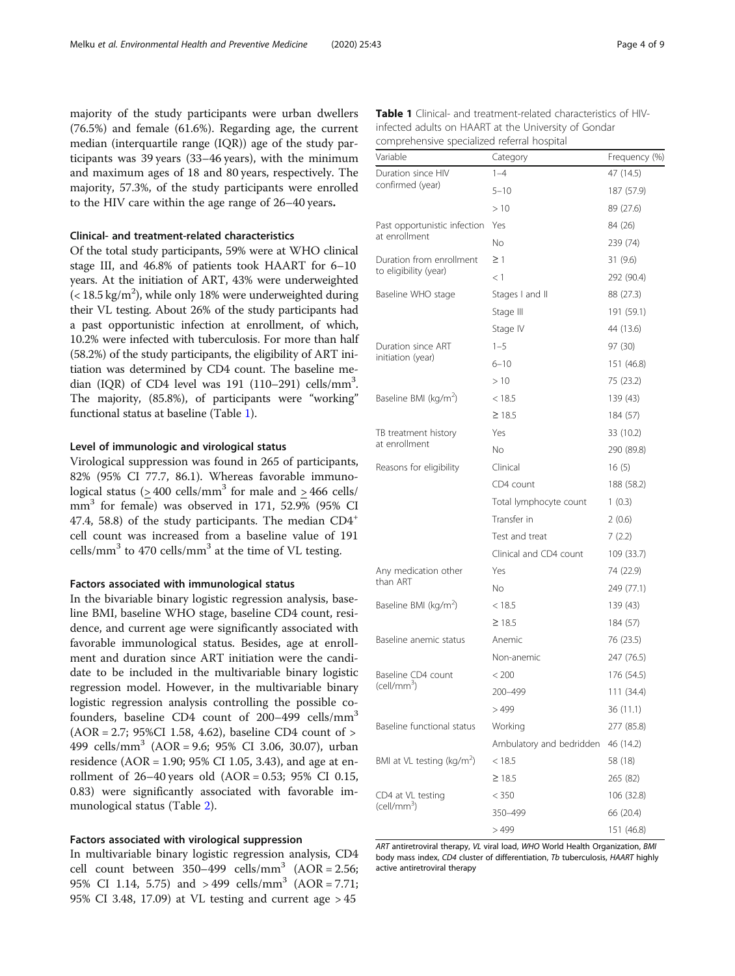majority of the study participants were urban dwellers (76.5%) and female (61.6%). Regarding age, the current median (interquartile range (IQR)) age of the study participants was 39 years (33–46 years), with the minimum and maximum ages of 18 and 80 years, respectively. The majority, 57.3%, of the study participants were enrolled to the HIV care within the age range of 26–40 years.

#### Clinical- and treatment-related characteristics

Of the total study participants, 59% were at WHO clinical stage III, and 46.8% of patients took HAART for 6–10 years. At the initiation of ART, 43% were underweighted  $(<$  18.5 kg/m<sup>2</sup>), while only 18% were underweighted during their VL testing. About 26% of the study participants had a past opportunistic infection at enrollment, of which, 10.2% were infected with tuberculosis. For more than half (58.2%) of the study participants, the eligibility of ART initiation was determined by CD4 count. The baseline median (IQR) of CD4 level was  $191$  ( $110-291$ ) cells/mm<sup>3</sup>. The majority, (85.8%), of participants were "working" functional status at baseline (Table 1).

#### Level of immunologic and virological status

Virological suppression was found in 265 of participants, 82% (95% CI 77.7, 86.1). Whereas favorable immunological status ( $>$  400 cells/mm<sup>3</sup> for male and  $>$  466 cells/ mm<sup>3</sup> for female) was observed in 171, 52.9% (95% CI 47.4, 58.8) of the study participants. The median CD4<sup>+</sup> cell count was increased from a baseline value of 191 cells/mm<sup>3</sup> to 470 cells/mm<sup>3</sup> at the time of VL testing.

#### Factors associated with immunological status

In the bivariable binary logistic regression analysis, baseline BMI, baseline WHO stage, baseline CD4 count, residence, and current age were significantly associated with favorable immunological status. Besides, age at enrollment and duration since ART initiation were the candidate to be included in the multivariable binary logistic regression model. However, in the multivariable binary logistic regression analysis controlling the possible cofounders, baseline CD4 count of 200–499 cells/mm<sup>3</sup> (AOR = 2.7; 95%CI 1.58, 4.62), baseline CD4 count of > 499 cells/mm<sup>3</sup> (AOR = 9.6; 95% CI 3.06, 30.07), urban residence (AOR = 1.90; 95% CI 1.05, 3.43), and age at enrollment of  $26-40$  years old  $(AOR = 0.53; 95\% \text{ CI } 0.15,$ 0.83) were significantly associated with favorable immunological status (Table [2\)](#page-4-0).

#### Factors associated with virological suppression

In multivariable binary logistic regression analysis, CD4 cell count between  $350-499$  cells/mm<sup>3</sup> (AOR = 2.56; 95% CI 1.14, 5.75) and  $>499$  cells/mm<sup>3</sup> (AOR = 7.71; 95% CI 3.48, 17.09) at VL testing and current age > 45

| <b>Table 1</b> Clinical- and treatment-related characteristics of HIV- |
|------------------------------------------------------------------------|
| infected adults on HAART at the University of Gondar                   |
| comprehensive specialized referral hospital                            |

| Variable                                | Category                 | Frequency (%) |  |
|-----------------------------------------|--------------------------|---------------|--|
| Duration since HIV<br>confirmed (year)  | $1 - 4$                  | 47 (14.5)     |  |
|                                         | $5 - 10$                 | 187 (57.9)    |  |
|                                         | >10                      | 89 (27.6)     |  |
| Past opportunistic infection            | Yes                      | 84 (26)       |  |
| at enrollment                           | No                       | 239 (74)      |  |
| Duration from enrollment                | $\geq$ 1                 | 31(9.6)       |  |
| to eligibility (year)                   | < 1                      | 292 (90.4)    |  |
| Baseline WHO stage                      | Stages I and II          | 88 (27.3)     |  |
|                                         | Stage III                | 191 (59.1)    |  |
|                                         | Stage IV                 | 44 (13.6)     |  |
| Duration since ART<br>initiation (year) | $1 - 5$                  | 97 (30)       |  |
|                                         | $6 - 10$                 | 151 (46.8)    |  |
|                                         | >10                      | 75 (23.2)     |  |
| Baseline BMI (kg/m <sup>2</sup> )       | < 18.5                   | 139 (43)      |  |
|                                         | $\geq$ 18.5              | 184 (57)      |  |
| TB treatment history                    | Yes                      | 33 (10.2)     |  |
| at enrollment                           | No.                      | 290 (89.8)    |  |
| Reasons for eligibility                 | Clinical                 | 16(5)         |  |
|                                         | CD4 count                | 188 (58.2)    |  |
|                                         | Total lymphocyte count   | 1(0.3)        |  |
|                                         | Transfer in              | 2(0.6)        |  |
|                                         | Test and treat           | 7(2.2)        |  |
|                                         | Clinical and CD4 count   | 109 (33.7)    |  |
| Any medication other                    | Yes                      | 74 (22.9)     |  |
| than ART                                | No                       | 249 (77.1)    |  |
| Baseline BMI (kg/m <sup>2</sup> )       | < 18.5                   | 139 (43)      |  |
|                                         | $\geq$ 18.5              | 184 (57)      |  |
| Baseline anemic status                  | Anemic                   | 76 (23.5)     |  |
|                                         | Non-anemic               | 247 (76.5)    |  |
| Baseline CD4 count                      | < 200                    | 176 (54.5)    |  |
| $(cell/mm^3)$                           | 200-499                  | 111 (34.4)    |  |
|                                         | > 499                    | 36 (11.1)     |  |
| Baseline functional status              | Working                  | 277 (85.8)    |  |
|                                         | Ambulatory and bedridden | 46 (14.2)     |  |
| BMI at VL testing ( $\text{kg/m}^2$ )   | < 18.5                   | 58 (18)       |  |
|                                         | $\geq$ 18.5              | 265 (82)      |  |
| CD4 at VL testing                       | < 350                    | 106 (32.8)    |  |
| $(cell/mm^3)$                           | 350–499                  | 66 (20.4)     |  |
|                                         | >499                     | 151 (46.8)    |  |

ART antiretroviral therapy, VL viral load, WHO World Health Organization, BMI body mass index, CD4 cluster of differentiation, Tb tuberculosis, HAART highly active antiretroviral therapy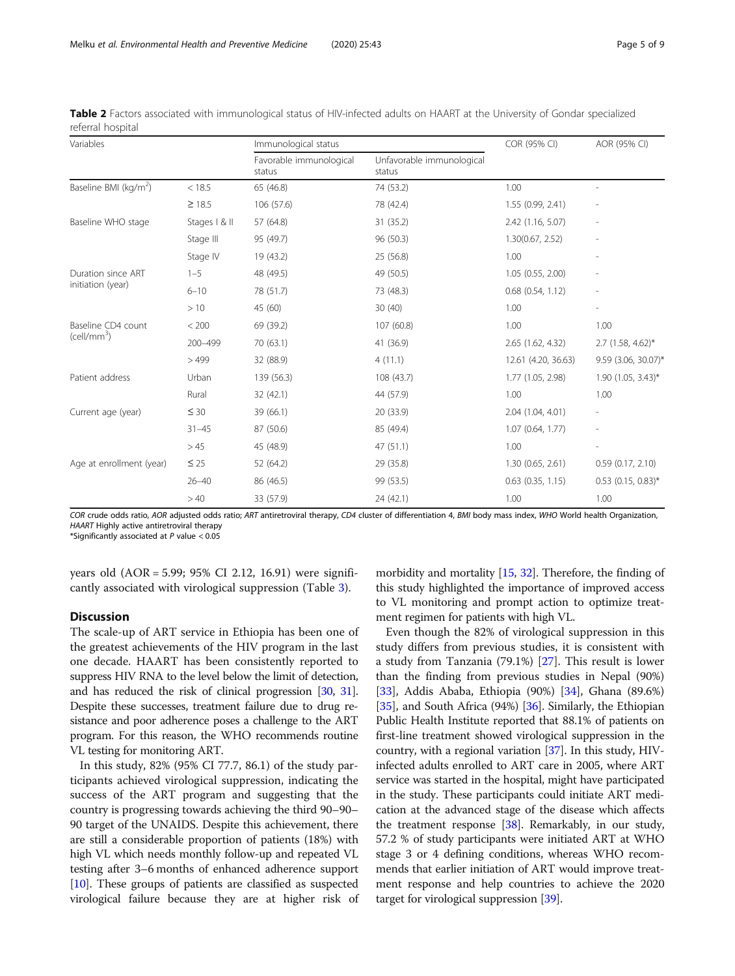| Variables                                     |               | Immunological status              |                                     | COR (95% CI)          | AOR (95% CI)                 |
|-----------------------------------------------|---------------|-----------------------------------|-------------------------------------|-----------------------|------------------------------|
|                                               |               | Favorable immunological<br>status | Unfavorable immunological<br>status |                       |                              |
| Baseline BMI (kg/m <sup>2</sup> )             | < 18.5        | 65 (46.8)                         | 74 (53.2)                           | 1.00                  | $\overline{\phantom{a}}$     |
|                                               | $\geq 18.5$   | 106 (57.6)                        | 78 (42.4)                           | 1.55 (0.99, 2.41)     | $\qquad \qquad \blacksquare$ |
| Baseline WHO stage                            | Stages   & II | 57 (64.8)                         | 31 (35.2)                           | 2.42 (1.16, 5.07)     | $\qquad \qquad \blacksquare$ |
|                                               | Stage III     | 95 (49.7)                         | 96 (50.3)                           | 1.30(0.67, 2.52)      |                              |
|                                               | Stage IV      | 19 (43.2)                         | 25 (56.8)                           | 1.00                  | $\overline{\phantom{0}}$     |
| Duration since ART<br>initiation (year)       | $1 - 5$       | 48 (49.5)                         | 49 (50.5)                           | 1.05 (0.55, 2.00)     | $\overline{\phantom{a}}$     |
|                                               | $6 - 10$      | 78 (51.7)                         | 73 (48.3)                           | $0.68$ $(0.54, 1.12)$ | $\overline{\phantom{a}}$     |
|                                               | >10           | 45 (60)                           | 30(40)                              | 1.00                  | $\overline{\phantom{a}}$     |
| Baseline CD4 count<br>(cell/mm <sup>3</sup> ) | < 200         | 69 (39.2)                         | 107 (60.8)                          | 1.00                  | 1.00                         |
|                                               | 200-499       | 70 (63.1)                         | 41 (36.9)                           | 2.65 (1.62, 4.32)     | $2.7$ (1.58, 4.62)*          |
|                                               | >499          | 32 (88.9)                         | 4(11.1)                             | 12.61 (4.20, 36.63)   | 9.59 (3.06, 30.07)*          |
| Patient address                               | Urban         | 139 (56.3)                        | 108 (43.7)                          | 1.77 (1.05, 2.98)     | $1.90$ (1.05, 3.43)*         |
|                                               | Rural         | 32 (42.1)                         | 44 (57.9)                           | 1.00                  | 1.00                         |
| Current age (year)                            | $\leq 30$     | 39 (66.1)                         | 20 (33.9)                           | 2.04 (1.04, 4.01)     | $\overline{\phantom{a}}$     |
|                                               | $31 - 45$     | 87 (50.6)                         | 85 (49.4)                           | 1.07(0.64, 1.77)      |                              |
|                                               | >45           | 45 (48.9)                         | 47 (51.1)                           | 1.00                  | $\overline{\phantom{0}}$     |
| Age at enrollment (year)                      | $\leq 25$     | 52 (64.2)                         | 29 (35.8)                           | 1.30(0.65, 2.61)      | 0.59(0.17, 2.10)             |
|                                               | $26 - 40$     | 86 (46.5)                         | 99 (53.5)                           | $0.63$ $(0.35, 1.15)$ | $0.53$ (0.15, 0.83)*         |
|                                               | >40           | 33 (57.9)                         | 24 (42.1)                           | 1.00                  | 1.00                         |

<span id="page-4-0"></span>Table 2 Factors associated with immunological status of HIV-infected adults on HAART at the University of Gondar specialized referral hospital

COR crude odds ratio, AOR adjusted odds ratio; ART antiretroviral therapy, CD4 cluster of differentiation 4, BMI body mass index, WHO World health Organization, HAART Highly active antiretroviral therapy

\*Significantly associated at  $P$  value  $< 0.05$ 

years old (AOR = 5.99; 95% CI 2.12, 16.91) were significantly associated with virological suppression (Table [3](#page-5-0)).

#### **Discussion**

The scale-up of ART service in Ethiopia has been one of the greatest achievements of the HIV program in the last one decade. HAART has been consistently reported to suppress HIV RNA to the level below the limit of detection, and has reduced the risk of clinical progression [\[30,](#page-8-0) [31](#page-8-0)]. Despite these successes, treatment failure due to drug resistance and poor adherence poses a challenge to the ART program. For this reason, the WHO recommends routine VL testing for monitoring ART.

In this study, 82% (95% CI 77.7, 86.1) of the study participants achieved virological suppression, indicating the success of the ART program and suggesting that the country is progressing towards achieving the third 90–90– 90 target of the UNAIDS. Despite this achievement, there are still a considerable proportion of patients (18%) with high VL which needs monthly follow-up and repeated VL testing after 3–6 months of enhanced adherence support [[10](#page-7-0)]. These groups of patients are classified as suspected virological failure because they are at higher risk of morbidity and mortality [\[15,](#page-7-0) [32](#page-8-0)]. Therefore, the finding of this study highlighted the importance of improved access to VL monitoring and prompt action to optimize treatment regimen for patients with high VL.

Even though the 82% of virological suppression in this study differs from previous studies, it is consistent with a study from Tanzania (79.1%) [\[27](#page-7-0)]. This result is lower than the finding from previous studies in Nepal (90%) [[33\]](#page-8-0), Addis Ababa, Ethiopia (90%) [[34](#page-8-0)], Ghana (89.6%) [[35\]](#page-8-0), and South Africa (94%) [[36](#page-8-0)]. Similarly, the Ethiopian Public Health Institute reported that 88.1% of patients on first-line treatment showed virological suppression in the country, with a regional variation  $[37]$  $[37]$  $[37]$ . In this study, HIVinfected adults enrolled to ART care in 2005, where ART service was started in the hospital, might have participated in the study. These participants could initiate ART medication at the advanced stage of the disease which affects the treatment response [[38](#page-8-0)]. Remarkably, in our study, 57.2 % of study participants were initiated ART at WHO stage 3 or 4 defining conditions, whereas WHO recommends that earlier initiation of ART would improve treatment response and help countries to achieve the 2020 target for virological suppression [\[39\]](#page-8-0).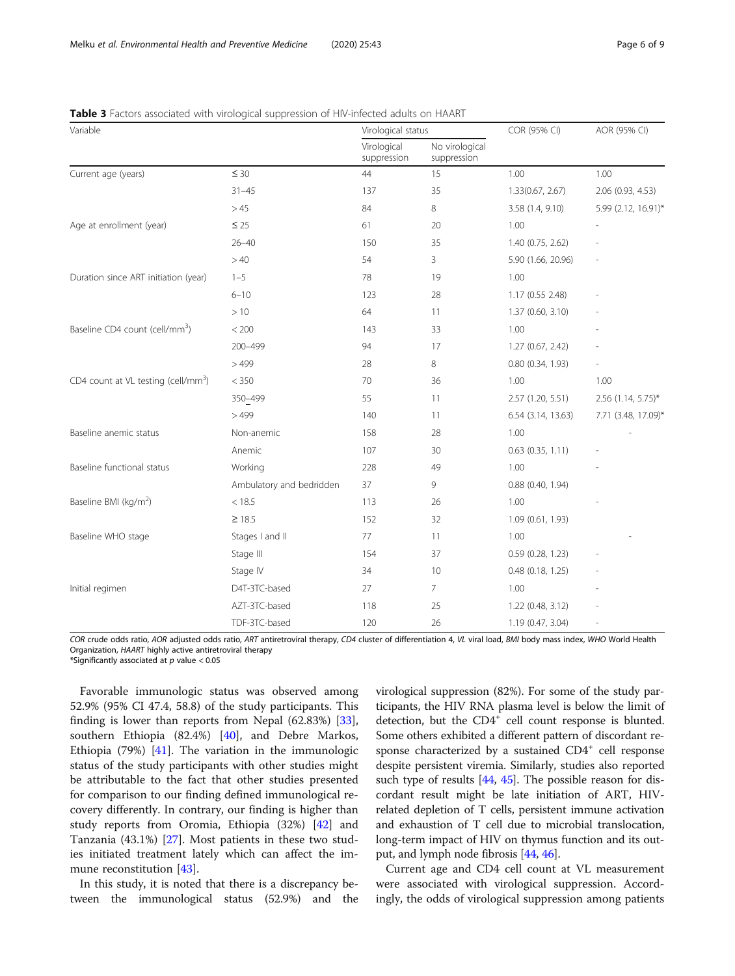| Variable                                        |                          | Virological status         |                               | COR (95% CI)        | AOR (95% CI)        |
|-------------------------------------------------|--------------------------|----------------------------|-------------------------------|---------------------|---------------------|
|                                                 |                          | Virological<br>suppression | No virological<br>suppression |                     |                     |
| Current age (years)                             | $\leq 30$                | 44                         | 15                            | 1.00                | 1.00                |
|                                                 | $31 - 45$                | 137                        | 35                            | 1.33(0.67, 2.67)    | 2.06 (0.93, 4.53)   |
|                                                 | >45                      | 84                         | 8                             | 3.58 (1.4, 9.10)    | 5.99 (2.12, 16.91)* |
| Age at enrollment (year)                        | $\leq 25$                | 61                         | 20                            | 1.00                |                     |
|                                                 | $26 - 40$                | 150                        | 35                            | 1.40 (0.75, 2.62)   |                     |
|                                                 | >40                      | 54                         | 3                             | 5.90 (1.66, 20.96)  |                     |
| Duration since ART initiation (year)            | $1 - 5$                  | 78                         | 19                            | 1.00                |                     |
|                                                 | $6 - 10$                 | 123                        | 28                            | 1.17 (0.55 2.48)    |                     |
|                                                 | >10                      | 64                         | 11                            | 1.37 (0.60, 3.10)   |                     |
| Baseline CD4 count (cell/mm <sup>3</sup> )      | < 200                    | 143                        | 33                            | 1.00                |                     |
|                                                 | 200-499                  | 94                         | 17                            | 1.27 (0.67, 2.42)   |                     |
|                                                 | >499                     | 28                         | 8                             | 0.80 (0.34, 1.93)   |                     |
| CD4 count at VL testing (cell/mm <sup>3</sup> ) | < 350                    | 70                         | 36                            | 1.00                | 1.00                |
|                                                 | $350 - 499$              | 55                         | 11                            | 2.57 (1.20, 5.51)   | 2.56 (1.14, 5.75)*  |
|                                                 | >499                     | 140                        | 11                            | 6.54 (3.14, 13.63)  | 7.71 (3.48, 17.09)* |
| Baseline anemic status                          | Non-anemic               | 158                        | 28                            | 1.00                |                     |
|                                                 | Anemic                   | 107                        | 30                            | 0.63 (0.35, 1.11)   |                     |
| Baseline functional status                      | Working                  | 228                        | 49                            | 1.00                |                     |
|                                                 | Ambulatory and bedridden | 37                         | 9                             | 0.88 (0.40, 1.94)   |                     |
| Baseline BMI (kg/m <sup>2</sup> )               | < 18.5                   | 113                        | 26                            | 1.00                |                     |
|                                                 | $\geq 18.5$              | 152                        | 32                            | 1.09(0.61, 1.93)    |                     |
| Baseline WHO stage                              | Stages I and II          | 77                         | 11                            | 1.00                |                     |
|                                                 | Stage III                | 154                        | 37                            | $0.59$ (0.28, 1.23) |                     |
|                                                 | Stage IV                 | 34                         | 10                            | 0.48 (0.18, 1.25)   |                     |
| Initial regimen                                 | D4T-3TC-based            | 27                         | $\overline{7}$                | 1.00                |                     |
|                                                 | AZT-3TC-based            | 118                        | 25                            | 1.22 (0.48, 3.12)   |                     |
|                                                 | TDF-3TC-based            | 120                        | 26                            | 1.19 (0.47, 3.04)   |                     |

<span id="page-5-0"></span>Table 3 Factors associated with virological suppression of HIV-infected adults on HAART

COR crude odds ratio, AOR adjusted odds ratio, ART antiretroviral therapy, CD4 cluster of differentiation 4, VL viral load, BMI body mass index, WHO World Health Organization, HAART highly active antiretroviral therapy

\*Significantly associated at  $p$  value < 0.05

Favorable immunologic status was observed among 52.9% (95% CI 47.4, 58.8) of the study participants. This finding is lower than reports from Nepal (62.83%) [\[33](#page-8-0)], southern Ethiopia (82.4%) [\[40](#page-8-0)], and Debre Markos, Ethiopia (79%) [[41\]](#page-8-0). The variation in the immunologic status of the study participants with other studies might be attributable to the fact that other studies presented for comparison to our finding defined immunological recovery differently. In contrary, our finding is higher than study reports from Oromia, Ethiopia (32%) [[42](#page-8-0)] and Tanzania (43.1%) [[27\]](#page-7-0). Most patients in these two studies initiated treatment lately which can affect the im-mune reconstitution [\[43](#page-8-0)].

In this study, it is noted that there is a discrepancy between the immunological status (52.9%) and the virological suppression (82%). For some of the study participants, the HIV RNA plasma level is below the limit of detection, but the CD4<sup>+</sup> cell count response is blunted. Some others exhibited a different pattern of discordant response characterized by a sustained  $CD4^+$  cell response despite persistent viremia. Similarly, studies also reported such type of results [[44,](#page-8-0) [45\]](#page-8-0). The possible reason for discordant result might be late initiation of ART, HIVrelated depletion of T cells, persistent immune activation and exhaustion of T cell due to microbial translocation, long-term impact of HIV on thymus function and its output, and lymph node fibrosis [\[44,](#page-8-0) [46](#page-8-0)].

Current age and CD4 cell count at VL measurement were associated with virological suppression. Accordingly, the odds of virological suppression among patients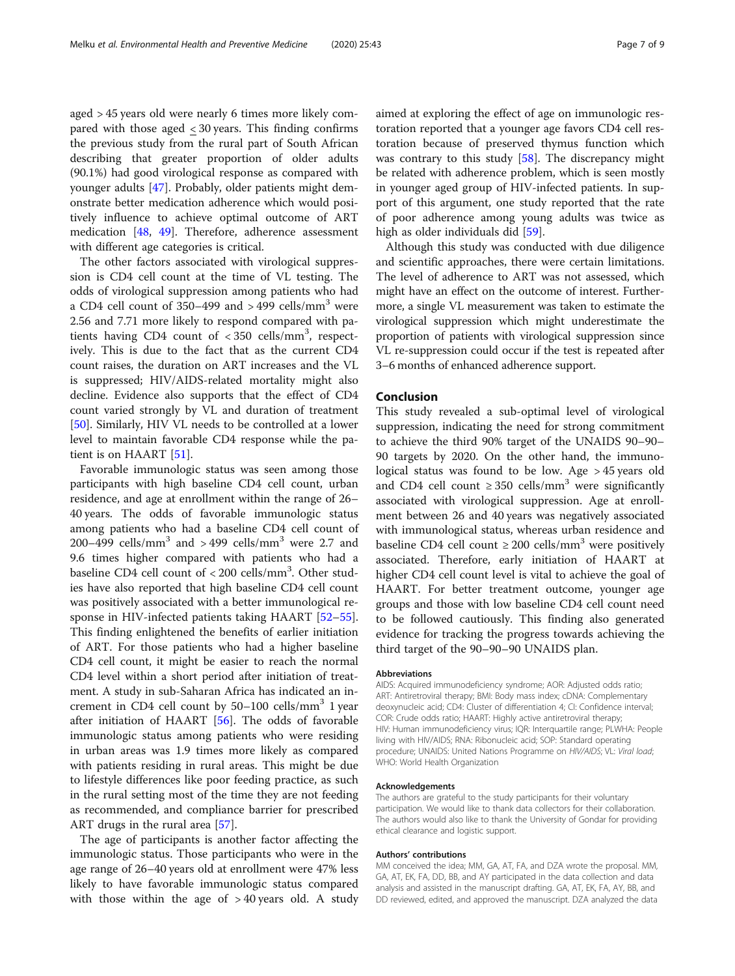aged > 45 years old were nearly 6 times more likely compared with those aged < 30 years. This finding confirms the previous study from the rural part of South African describing that greater proportion of older adults (90.1%) had good virological response as compared with younger adults [[47](#page-8-0)]. Probably, older patients might demonstrate better medication adherence which would positively influence to achieve optimal outcome of ART medication [\[48,](#page-8-0) [49\]](#page-8-0). Therefore, adherence assessment with different age categories is critical.

The other factors associated with virological suppression is CD4 cell count at the time of VL testing. The odds of virological suppression among patients who had a CD4 cell count of  $350-499$  and  $>499$  cells/mm<sup>3</sup> were 2.56 and 7.71 more likely to respond compared with patients having CD4 count of  $<$  350 cells/mm<sup>3</sup>, respectively. This is due to the fact that as the current CD4 count raises, the duration on ART increases and the VL is suppressed; HIV/AIDS-related mortality might also decline. Evidence also supports that the effect of CD4 count varied strongly by VL and duration of treatment [[50\]](#page-8-0). Similarly, HIV VL needs to be controlled at a lower level to maintain favorable CD4 response while the patient is on HAART [\[51](#page-8-0)].

Favorable immunologic status was seen among those participants with high baseline CD4 cell count, urban residence, and age at enrollment within the range of 26– 40 years. The odds of favorable immunologic status among patients who had a baseline CD4 cell count of 200–499 cells/mm<sup>3</sup> and > 499 cells/mm<sup>3</sup> were 2.7 and 9.6 times higher compared with patients who had a baseline CD4 cell count of < 200 cells/mm<sup>3</sup>. Other studies have also reported that high baseline CD4 cell count was positively associated with a better immunological response in HIV-infected patients taking HAART [[52](#page-8-0)–[55](#page-8-0)]. This finding enlightened the benefits of earlier initiation of ART. For those patients who had a higher baseline CD4 cell count, it might be easier to reach the normal CD4 level within a short period after initiation of treatment. A study in sub-Saharan Africa has indicated an increment in CD4 cell count by  $50-100$  cells/mm<sup>3</sup> 1 year after initiation of HAART [\[56\]](#page-8-0). The odds of favorable immunologic status among patients who were residing in urban areas was 1.9 times more likely as compared with patients residing in rural areas. This might be due to lifestyle differences like poor feeding practice, as such in the rural setting most of the time they are not feeding as recommended, and compliance barrier for prescribed ART drugs in the rural area [\[57\]](#page-8-0).

The age of participants is another factor affecting the immunologic status. Those participants who were in the age range of 26–40 years old at enrollment were 47% less likely to have favorable immunologic status compared with those within the age of  $>$  40 years old. A study

aimed at exploring the effect of age on immunologic restoration reported that a younger age favors CD4 cell restoration because of preserved thymus function which was contrary to this study  $[58]$  $[58]$ . The discrepancy might be related with adherence problem, which is seen mostly in younger aged group of HIV-infected patients. In support of this argument, one study reported that the rate of poor adherence among young adults was twice as high as older individuals did [[59\]](#page-8-0).

Although this study was conducted with due diligence and scientific approaches, there were certain limitations. The level of adherence to ART was not assessed, which might have an effect on the outcome of interest. Furthermore, a single VL measurement was taken to estimate the virological suppression which might underestimate the proportion of patients with virological suppression since VL re-suppression could occur if the test is repeated after 3–6 months of enhanced adherence support.

#### Conclusion

This study revealed a sub-optimal level of virological suppression, indicating the need for strong commitment to achieve the third 90% target of the UNAIDS 90–90– 90 targets by 2020. On the other hand, the immunological status was found to be low. Age > 45 years old and CD4 cell count  $\geq$  350 cells/mm<sup>3</sup> were significantly associated with virological suppression. Age at enrollment between 26 and 40 years was negatively associated with immunological status, whereas urban residence and baseline CD4 cell count  $\geq 200$  cells/mm<sup>3</sup> were positively associated. Therefore, early initiation of HAART at higher CD4 cell count level is vital to achieve the goal of HAART. For better treatment outcome, younger age groups and those with low baseline CD4 cell count need to be followed cautiously. This finding also generated evidence for tracking the progress towards achieving the third target of the 90–90–90 UNAIDS plan.

#### Abbreviations

AIDS: Acquired immunodeficiency syndrome; AOR: Adjusted odds ratio; ART: Antiretroviral therapy; BMI: Body mass index; cDNA: Complementary deoxynucleic acid; CD4: Cluster of differentiation 4; CI: Confidence interval; COR: Crude odds ratio; HAART: Highly active antiretroviral therapy; HIV: Human immunodeficiency virus; IQR: Interquartile range; PLWHA: People living with HIV/AIDS; RNA: Ribonucleic acid; SOP: Standard operating procedure; UNAIDS: United Nations Programme on HIV/AIDS; VL: Viral load; WHO: World Health Organization

#### Acknowledgements

The authors are grateful to the study participants for their voluntary participation. We would like to thank data collectors for their collaboration. The authors would also like to thank the University of Gondar for providing ethical clearance and logistic support.

#### Authors' contributions

MM conceived the idea; MM, GA, AT, FA, and DZA wrote the proposal. MM, GA, AT, EK, FA, DD, BB, and AY participated in the data collection and data analysis and assisted in the manuscript drafting. GA, AT, EK, FA, AY, BB, and DD reviewed, edited, and approved the manuscript. DZA analyzed the data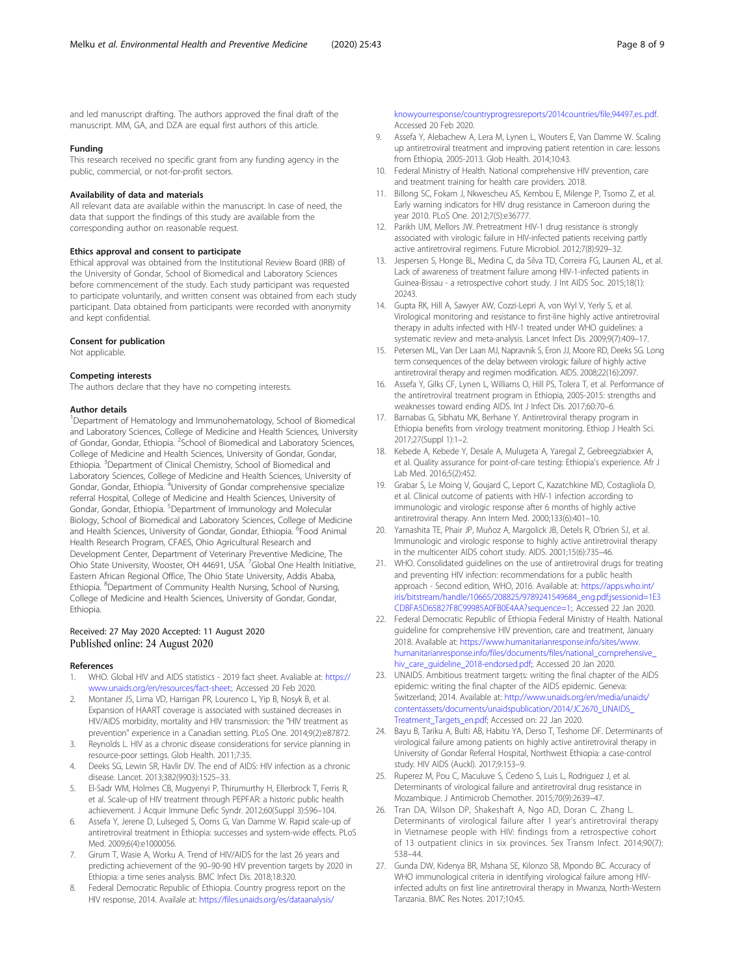<span id="page-7-0"></span>and led manuscript drafting. The authors approved the final draft of the manuscript. MM, GA, and DZA are equal first authors of this article.

#### Funding

This research received no specific grant from any funding agency in the public, commercial, or not-for-profit sectors.

#### Availability of data and materials

All relevant data are available within the manuscript. In case of need, the data that support the findings of this study are available from the corresponding author on reasonable request.

#### Ethics approval and consent to participate

Ethical approval was obtained from the Institutional Review Board (IRB) of the University of Gondar, School of Biomedical and Laboratory Sciences before commencement of the study. Each study participant was requested to participate voluntarily, and written consent was obtained from each study participant. Data obtained from participants were recorded with anonymity and kept confidential.

#### Consent for publication

Not applicable.

#### Competing interests

The authors declare that they have no competing interests.

#### Author details

<sup>1</sup>Department of Hematology and Immunohematology, School of Biomedical and Laboratory Sciences, College of Medicine and Health Sciences, University of Gondar, Gondar, Ethiopia. <sup>2</sup>School of Biomedical and Laboratory Sciences, College of Medicine and Health Sciences, University of Gondar, Gondar, Ethiopia. <sup>3</sup> Department of Clinical Chemistry, School of Biomedical and Laboratory Sciences, College of Medicine and Health Sciences, University of Gondar, Gondar, Ethiopia. <sup>4</sup>University of Gondar comprehensive specialize referral Hospital, College of Medicine and Health Sciences, University of Gondar, Gondar, Ethiopia. <sup>5</sup>Department of Immunology and Molecular Biology, School of Biomedical and Laboratory Sciences, College of Medicine and Health Sciences, University of Gondar, Gondar, Ethiopia. <sup>6</sup>Food Animal Health Research Program, CFAES, Ohio Agricultural Research and Development Center, Department of Veterinary Preventive Medicine, The Ohio State University, Wooster, OH 44691, USA. <sup>7</sup>Global One Health Initiative, Eastern African Regional Office, The Ohio State University, Addis Ababa, Ethiopia. <sup>8</sup>Department of Community Health Nursing, School of Nursing, College of Medicine and Health Sciences, University of Gondar, Gondar, Ethiopia.

#### Received: 27 May 2020 Accepted: 11 August 2020 Published online: 24 August 2020

#### References

- 1. WHO. Global HIV and AIDS statistics 2019 fact sheet. Avaliable at: [https://](https://www.unaids.org/en/resources/fact-sheet;) [www.unaids.org/en/resources/fact-sheet;.](https://www.unaids.org/en/resources/fact-sheet;) Accessed 20 Feb 2020.
- 2. Montaner JS, Lima VD, Harrigan PR, Lourenco L, Yip B, Nosyk B, et al. Expansion of HAART coverage is associated with sustained decreases in HIV/AIDS morbidity, mortality and HIV transmission: the "HIV treatment as prevention" experience in a Canadian setting. PLoS One. 2014;9(2):e87872.
- 3. Reynolds L. HIV as a chronic disease considerations for service planning in resource-poor settings. Glob Health. 2011;7:35.
- 4. Deeks SG, Lewin SR, Havlir DV. The end of AIDS: HIV infection as a chronic disease. Lancet. 2013;382(9903):1525–33.
- 5. El-Sadr WM, Holmes CB, Mugyenyi P, Thirumurthy H, Ellerbrock T, Ferris R, et al. Scale-up of HIV treatment through PEPFAR: a historic public health achievement. J Acquir Immune Defic Syndr. 2012;60(Suppl 3):S96–104.
- 6. Assefa Y, Jerene D, Lulseged S, Ooms G, Van Damme W. Rapid scale-up of antiretroviral treatment in Ethiopia: successes and system-wide effects. PLoS Med. 2009;6(4):e1000056.
- Girum T, Wasie A, Worku A. Trend of HIV/AIDS for the last 26 years and predicting achievement of the 90–90-90 HIV prevention targets by 2020 in Ethiopia: a time series analysis. BMC Infect Dis. 2018;18:320.
- Federal Democratic Republic of Ethiopia. Country progress report on the HIV response, 2014. Availale at: [https://files.unaids.org/es/dataanalysis/](https://files.unaids.org/es/dataanalysis/knowyourresponse/countryprogressreports/2014countries/file,94497,es..pdf)

[knowyourresponse/countryprogressreports/2014countries/file,94497,es..pdf](https://files.unaids.org/es/dataanalysis/knowyourresponse/countryprogressreports/2014countries/file,94497,es..pdf). Accessed 20 Feb 2020.

- 9. Assefa Y, Alebachew A, Lera M, Lynen L, Wouters E, Van Damme W. Scaling up antiretroviral treatment and improving patient retention in care: lessons from Ethiopia, 2005-2013. Glob Health. 2014;10:43.
- 10. Federal Ministry of Health. National comprehensive HIV prevention, care and treatment training for health care providers. 2018.
- 11. Billong SC, Fokam J, Nkwescheu AS, Kembou E, Milenge P, Tsomo Z, et al. Early warning indicators for HIV drug resistance in Cameroon during the year 2010. PLoS One. 2012;7(5):e36777.
- 12. Parikh UM, Mellors JW. Pretreatment HIV-1 drug resistance is strongly associated with virologic failure in HIV-infected patients receiving partly active antiretroviral regimens. Future Microbiol. 2012;7(8):929–32.
- 13. Jespersen S, Honge BL, Medina C, da Silva TD, Correira FG, Laursen AL, et al. Lack of awareness of treatment failure among HIV-1-infected patients in Guinea-Bissau - a retrospective cohort study. J Int AIDS Soc. 2015;18(1): 20243.
- 14. Gupta RK, Hill A, Sawyer AW, Cozzi-Lepri A, von Wyl V, Yerly S, et al. Virological monitoring and resistance to first-line highly active antiretroviral therapy in adults infected with HIV-1 treated under WHO guidelines: a systematic review and meta-analysis. Lancet Infect Dis. 2009;9(7):409–17.
- 15. Petersen ML, Van Der Laan MJ, Napravnik S, Eron JJ, Moore RD, Deeks SG. Long term consequences of the delay between virologic failure of highly active antiretroviral therapy and regimen modification. AIDS. 2008;22(16):2097.
- 16. Assefa Y, Gilks CF, Lynen L, Williams O, Hill PS, Tolera T, et al. Performance of the antiretroviral treatment program in Ethiopia, 2005-2015: strengths and weaknesses toward ending AIDS. Int J Infect Dis. 2017;60:70–6.
- 17. Barnabas G, Sibhatu MK, Berhane Y. Antiretroviral therapy program in Ethiopia benefits from virology treatment monitoring. Ethiop J Health Sci. 2017;27(Suppl 1):1–2.
- 18. Kebede A, Kebede Y, Desale A, Mulugeta A, Yaregal Z, Gebreegziabxier A, et al. Quality assurance for point-of-care testing: Ethiopia's experience. Afr J Lab Med. 2016;5(2):452.
- 19. Grabar S, Le Moing V, Goujard C, Leport C, Kazatchkine MD, Costagliola D, et al. Clinical outcome of patients with HIV-1 infection according to immunologic and virologic response after 6 months of highly active antiretroviral therapy. Ann Intern Med. 2000;133(6):401–10.
- 20. Yamashita TE, Phair JP, Muñoz A, Margolick JB, Detels R, O'brien SJ, et al. Immunologic and virologic response to highly active antiretroviral therapy in the multicenter AIDS cohort study. AIDS. 2001;15(6):735–46.
- 21. WHO. Consolidated guidelines on the use of antiretroviral drugs for treating and preventing HIV infection: recommendations for a public health approach - Second edition, WHO, 2016. Available at: [https://apps.who.int/](https://apps.who.int/iris/bitstream/handle/10665/208825/9789241549684_eng.pdf;jsessionid=1E3CDBFA5D65827F8C99985A0FB0E4AA?sequence=1;) [iris/bitstream/handle/10665/208825/9789241549684\\_eng.pdf;jsessionid=1E3](https://apps.who.int/iris/bitstream/handle/10665/208825/9789241549684_eng.pdf;jsessionid=1E3CDBFA5D65827F8C99985A0FB0E4AA?sequence=1;) [CDBFA5D65827F8C99985A0FB0E4AA?sequence=1;.](https://apps.who.int/iris/bitstream/handle/10665/208825/9789241549684_eng.pdf;jsessionid=1E3CDBFA5D65827F8C99985A0FB0E4AA?sequence=1;) Accessed 22 Jan 2020.
- 22. Federal Democratic Republic of Ethiopia Federal Ministry of Health. National guideline for comprehensive HIV prevention, care and treatment, January 2018. Available at: [https://www.humanitarianresponse.info/sites/www.](https://www.humanitarianresponse.info/sites/www.humanitarianresponse.info/files/documents/files/national_comprehensive_hiv_care_guideline_2018-endorsed.pdf;) [humanitarianresponse.info/files/documents/files/national\\_comprehensive\\_](https://www.humanitarianresponse.info/sites/www.humanitarianresponse.info/files/documents/files/national_comprehensive_hiv_care_guideline_2018-endorsed.pdf;) [hiv\\_care\\_guideline\\_2018-endorsed.pdf;.](https://www.humanitarianresponse.info/sites/www.humanitarianresponse.info/files/documents/files/national_comprehensive_hiv_care_guideline_2018-endorsed.pdf;) Accessed 20 Jan 2020.
- 23. UNAIDS. Ambitious treatment targets: writing the final chapter of the AIDS epidemic: writing the final chapter of the AIDS epidemic. Geneva: Switzerland; 2014. Available at: [http://www.unaids.org/en/media/unaids/](http://www.unaids.org/en/media/unaids/contentassets/documents/unaidspublication/2014/JC2670_UNAIDS_Treatment_Targets_en.pdf) [contentassets/documents/unaidspublication/2014/JC2670\\_UNAIDS\\_](http://www.unaids.org/en/media/unaids/contentassets/documents/unaidspublication/2014/JC2670_UNAIDS_Treatment_Targets_en.pdf) [Treatment\\_Targets\\_en.pdf;](http://www.unaids.org/en/media/unaids/contentassets/documents/unaidspublication/2014/JC2670_UNAIDS_Treatment_Targets_en.pdf) Accessed on: 22 Jan 2020.
- 24. Bayu B, Tariku A, Bulti AB, Habitu YA, Derso T, Teshome DF. Determinants of virological failure among patients on highly active antiretroviral therapy in University of Gondar Referral Hospital, Northwest Ethiopia: a case-control study. HIV AIDS (Auckl). 2017;9:153–9.
- 25. Ruperez M, Pou C, Maculuve S, Cedeno S, Luis L, Rodriguez J, et al. Determinants of virological failure and antiretroviral drug resistance in Mozambique. J Antimicrob Chemother. 2015;70(9):2639–47.
- 26. Tran DA, Wilson DP, Shakeshaft A, Ngo AD, Doran C, Zhang L. Determinants of virological failure after 1 year's antiretroviral therapy in Vietnamese people with HIV: findings from a retrospective cohort of 13 outpatient clinics in six provinces. Sex Transm Infect. 2014;90(7): 538–44.
- 27. Gunda DW, Kidenya BR, Mshana SE, Kilonzo SB, Mpondo BC. Accuracy of WHO immunological criteria in identifying virological failure among HIVinfected adults on first line antiretroviral therapy in Mwanza, North-Western Tanzania. BMC Res Notes. 2017;10:45.